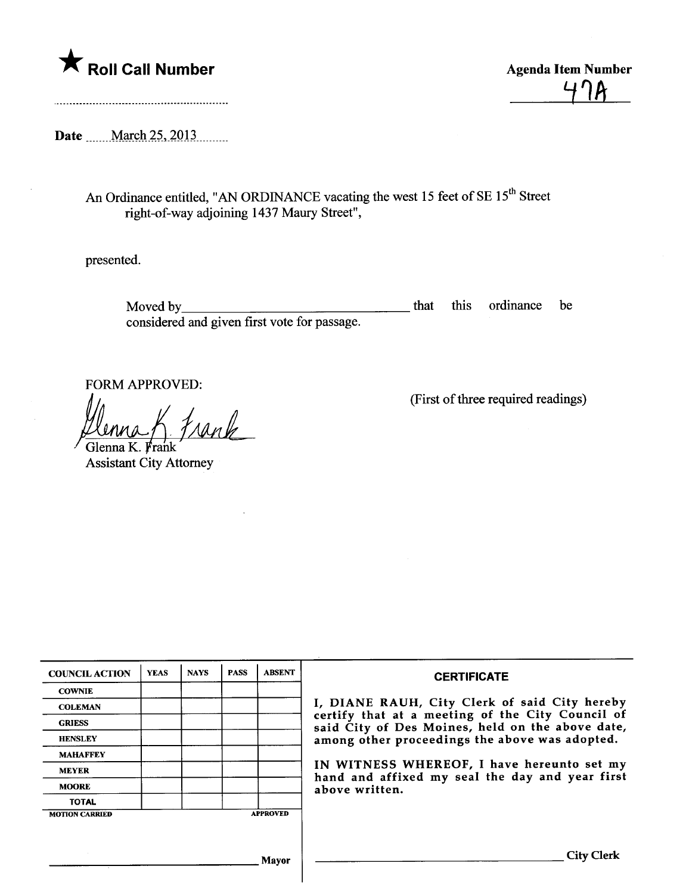

 $4.14$ 

Date ........ March 25, 2013..........

An Ordinance entitled, "AN ORDINANCE vacating the west 15 feet of SE 15<sup>th</sup> Street right-of-way adjoining 1437 Maury Street",

presented.

Moved by considered and given first vote for passage. that this ordinance be

FORM APPROVED:

Henna K. Frank

Assistant City Attorney

(First of three required readings)

| <b>COUNCIL ACTION</b> | <b>YEAS</b> | <b>NAYS</b> | <b>PASS</b> | <b>ABSENT</b>   | <b>CERTIFICATE</b>                                                                                                                                                                                      |  |  |
|-----------------------|-------------|-------------|-------------|-----------------|---------------------------------------------------------------------------------------------------------------------------------------------------------------------------------------------------------|--|--|
| <b>COWNIE</b>         |             |             |             |                 | I, DIANE RAUH, City Clerk of said City hereby<br>certify that at a meeting of the City Council of<br>said City of Des Moines, held on the above date,<br>among other proceedings the above was adopted. |  |  |
| <b>COLEMAN</b>        |             |             |             |                 |                                                                                                                                                                                                         |  |  |
| <b>GRIESS</b>         |             |             |             |                 |                                                                                                                                                                                                         |  |  |
| <b>HENSLEY</b>        |             |             |             |                 |                                                                                                                                                                                                         |  |  |
| <b>MAHAFFEY</b>       |             |             |             |                 |                                                                                                                                                                                                         |  |  |
| <b>MEYER</b>          |             |             |             |                 | IN WITNESS WHEREOF, I have hereunto set my<br>hand and affixed my seal the day and year first<br>above written.                                                                                         |  |  |
| <b>MOORE</b>          |             |             |             |                 |                                                                                                                                                                                                         |  |  |
| <b>TOTAL</b>          |             |             |             |                 |                                                                                                                                                                                                         |  |  |
| <b>MOTION CARRIED</b> |             |             |             | <b>APPROVED</b> |                                                                                                                                                                                                         |  |  |
|                       |             |             |             |                 |                                                                                                                                                                                                         |  |  |
| Mayor                 |             |             |             |                 | City Clerk                                                                                                                                                                                              |  |  |